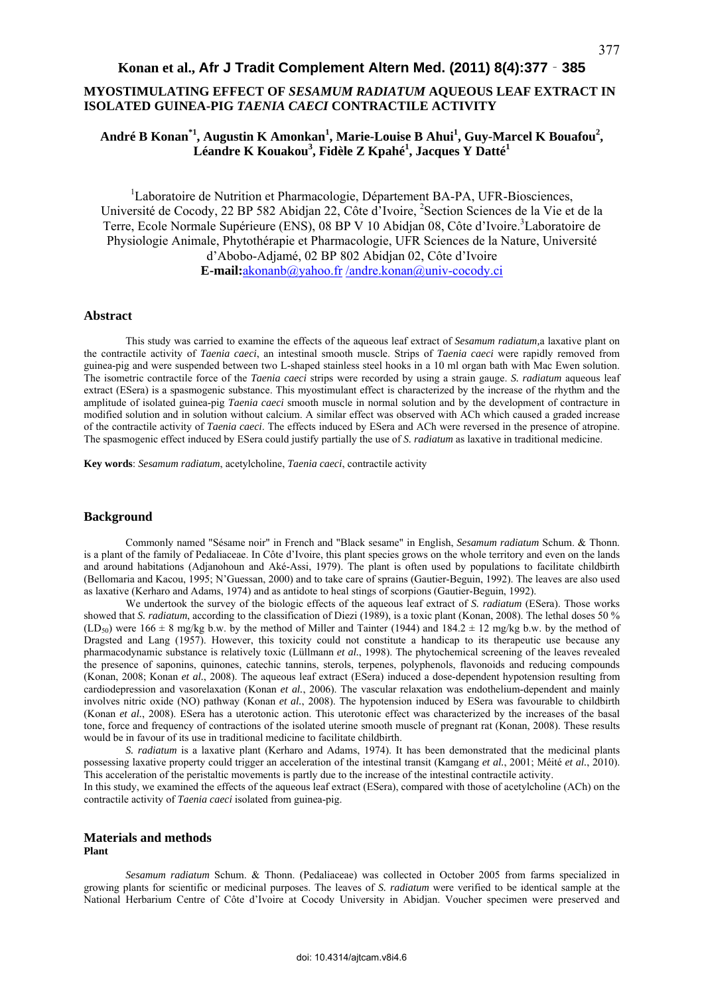# **MYOSTIMULATING EFFECT OF** *SESAMUM RADIATUM* **AQUEOUS LEAF EXTRACT IN ISOLATED GUINEA-PIG** *TAENIA CAECI* **CONTRACTILE ACTIVITY**

# André B Konan<sup>\*1</sup>, Augustin K Amonkan<sup>1</sup>, Marie-Louise B Ahui<sup>1</sup>, Guy-Marcel K Bouafou<sup>2</sup>, **Léandre K Kouakou<sup>3</sup> , Fidèle Z Kpahé<sup>1</sup> , Jacques Y Datté<sup>1</sup>**

<sup>1</sup>Laboratoire de Nutrition et Pharmacologie, Département BA-PA, UFR-Biosciences, Université de Cocody, 22 BP 582 Abidjan 22, Côte d'Ivoire, <sup>2</sup>Section Sciences de la Vie et de la Terre, Ecole Normale Supérieure (ENS), 08 BP V 10 Abidjan 08, Côte d'Ivoire.<sup>3</sup>Laboratoire de Physiologie Animale, Phytothérapie et Pharmacologie, UFR Sciences de la Nature, Université d'Abobo-Adjamé, 02 BP 802 Abidjan 02, Côte d'Ivoire **E-mail:**akonanb@yahoo.fr /andre.konan@univ-cocody.ci

# **Abstract**

This study was carried to examine the effects of the aqueous leaf extract of *Sesamum radiatum,*a laxative plant on the contractile activity of *Taenia caeci*, an intestinal smooth muscle. Strips of *Taenia caeci* were rapidly removed from guinea-pig and were suspended between two L-shaped stainless steel hooks in a 10 ml organ bath with Mac Ewen solution. The isometric contractile force of the *Taenia caeci* strips were recorded by using a strain gauge. *S. radiatum* aqueous leaf extract (ESera) is a spasmogenic substance. This myostimulant effect is characterized by the increase of the rhythm and the amplitude of isolated guinea-pig *Taenia caeci* smooth muscle in normal solution and by the development of contracture in modified solution and in solution without calcium. A similar effect was observed with ACh which caused a graded increase of the contractile activity of *Taenia caeci*. The effects induced by ESera and ACh were reversed in the presence of atropine. The spasmogenic effect induced by ESera could justify partially the use of *S. radiatum* as laxative in traditional medicine.

**Key words**: *Sesamum radiatum*, acetylcholine, *Taenia caeci*, contractile activity

## **Background**

Commonly named "Sésame noir" in French and "Black sesame" in English, *Sesamum radiatum* Schum. & Thonn. is a plant of the family of Pedaliaceae. In Côte d'Ivoire, this plant species grows on the whole territory and even on the lands and around habitations (Adjanohoun and Aké-Assi, 1979). The plant is often used by populations to facilitate childbirth (Bellomaria and Kacou, 1995; N'Guessan, 2000) and to take care of sprains (Gautier-Beguin, 1992). The leaves are also used as laxative (Kerharo and Adams, 1974) and as antidote to heal stings of scorpions (Gautier-Beguin, 1992).

We undertook the survey of the biologic effects of the aqueous leaf extract of *S. radiatum* (ESera). Those works showed that *S. radiatum*, according to the classification of Diezi (1989), is a toxic plant (Konan, 2008). The lethal doses 50 %  $(LD_{50})$  were 166  $\pm$  8 mg/kg b.w. by the method of Miller and Tainter (1944) and 184.2  $\pm$  12 mg/kg b.w. by the method of Dragsted and Lang (1957). However, this toxicity could not constitute a handicap to its therapeutic use because any pharmacodynamic substance is relatively toxic (Lüllmann *et al.*, 1998). The phytochemical screening of the leaves revealed the presence of saponins, quinones, catechic tannins, sterols, terpenes, polyphenols, flavonoids and reducing compounds (Konan, 2008; Konan *et al.*, 2008). The aqueous leaf extract (ESera) induced a dose-dependent hypotension resulting from cardiodepression and vasorelaxation (Konan *et al.*, 2006). The vascular relaxation was endothelium-dependent and mainly involves nitric oxide (NO) pathway (Konan *et al.*, 2008). The hypotension induced by ESera was favourable to childbirth (Konan *et al.*, 2008). ESera has a uterotonic action. This uterotonic effect was characterized by the increases of the basal tone, force and frequency of contractions of the isolated uterine smooth muscle of pregnant rat (Konan, 2008). These results would be in favour of its use in traditional medicine to facilitate childbirth.

*S. radiatum* is a laxative plant (Kerharo and Adams, 1974). It has been demonstrated that the medicinal plants possessing laxative property could trigger an acceleration of the intestinal transit (Kamgang *et al.*, 2001; Méité *et al.*, 2010). This acceleration of the peristaltic movements is partly due to the increase of the intestinal contractile activity.

In this study, we examined the effects of the aqueous leaf extract (ESera), compared with those of acetylcholine (ACh) on the contractile activity of *Taenia caeci* isolated from guinea-pig.

## **Materials and methods Plant**

*Sesamum radiatum* Schum. & Thonn. (Pedaliaceae) was collected in October 2005 from farms specialized in growing plants for scientific or medicinal purposes. The leaves of *S. radiatum* were verified to be identical sample at the National Herbarium Centre of Côte d'Ivoire at Cocody University in Abidjan. Voucher specimen were preserved and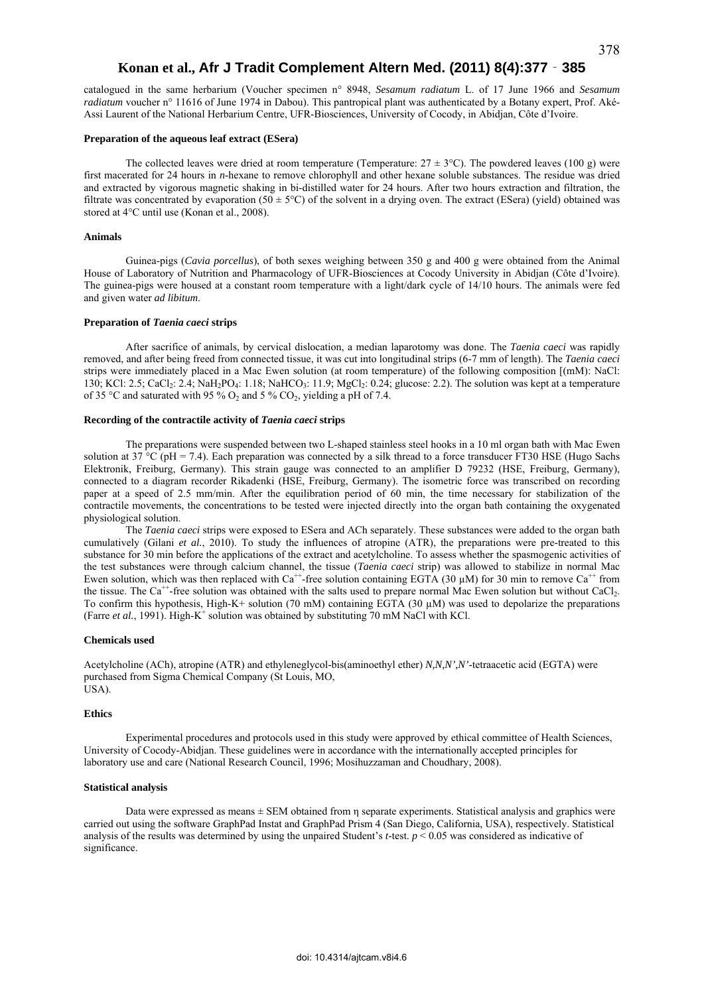catalogued in the same herbarium (Voucher specimen n° 8948, *Sesamum radiatum* L. of 17 June 1966 and *Sesamum radiatum* voucher n° 11616 of June 1974 in Dabou). This pantropical plant was authenticated by a Botany expert, Prof. Aké-Assi Laurent of the National Herbarium Centre, UFR-Biosciences, University of Cocody, in Abidjan, Côte d'Ivoire.

### **Preparation of the aqueous leaf extract (ESera)**

The collected leaves were dried at room temperature (Temperature:  $27 \pm 3^{\circ}$ C). The powdered leaves (100 g) were first macerated for 24 hours in *n*-hexane to remove chlorophyll and other hexane soluble substances. The residue was dried and extracted by vigorous magnetic shaking in bi-distilled water for 24 hours. After two hours extraction and filtration, the filtrate was concentrated by evaporation (50  $\pm$  5°C) of the solvent in a drying oven. The extract (ESera) (yield) obtained was stored at 4°C until use (Konan et al., 2008).

### **Animals**

Guinea-pigs (*Cavia porcellus*), of both sexes weighing between 350 g and 400 g were obtained from the Animal House of Laboratory of Nutrition and Pharmacology of UFR-Biosciences at Cocody University in Abidjan (Côte d'Ivoire). The guinea-pigs were housed at a constant room temperature with a light/dark cycle of 14/10 hours. The animals were fed and given water *ad libitum*.

## **Preparation of** *Taenia caeci* **strips**

After sacrifice of animals, by cervical dislocation, a median laparotomy was done. The *Taenia caeci* was rapidly removed, and after being freed from connected tissue, it was cut into longitudinal strips (6-7 mm of length). The *Taenia caeci*  strips were immediately placed in a Mac Ewen solution (at room temperature) of the following composition [(mM): NaCl: 130; KCl: 2.5; CaCl<sub>2</sub>: 2.4; NaH<sub>2</sub>PO<sub>4</sub>: 1.18; NaHCO<sub>3</sub>: 11.9; MgCl<sub>2</sub>: 0.24; glucose: 2.2). The solution was kept at a temperature of 35 °C and saturated with 95 %  $O_2$  and 5 %  $CO_2$ , yielding a pH of 7.4.

## **Recording of the contractile activity of** *Taenia caeci* **strips**

The preparations were suspended between two L-shaped stainless steel hooks in a 10 ml organ bath with Mac Ewen solution at 37 °C (pH = 7.4). Each preparation was connected by a silk thread to a force transducer FT30 HSE (Hugo Sachs Elektronik, Freiburg, Germany). This strain gauge was connected to an amplifier D 79232 (HSE, Freiburg, Germany), connected to a diagram recorder Rikadenki (HSE, Freiburg, Germany). The isometric force was transcribed on recording paper at a speed of 2.5 mm/min. After the equilibration period of 60 min, the time necessary for stabilization of the contractile movements, the concentrations to be tested were injected directly into the organ bath containing the oxygenated physiological solution.

The *Taenia caeci* strips were exposed to ESera and ACh separately. These substances were added to the organ bath cumulatively (Gilani *et al.*, 2010). To study the influences of atropine (ATR), the preparations were pre-treated to this substance for 30 min before the applications of the extract and acetylcholine. To assess whether the spasmogenic activities of the test substances were through calcium channel, the tissue (*Taenia caeci* strip) was allowed to stabilize in normal Mac Ewen solution, which was then replaced with Ca<sup>++</sup>-free solution containing EGTA (30  $\mu$ M) for 30 min to remove Ca<sup>++</sup> from the tissue. The Ca<sup>++</sup>-free solution was obtained with the salts used to prepare normal Mac Ewen solution but without CaCl<sub>2</sub>. To confirm this hypothesis, High-K+ solution (70 mM) containing EGTA (30 µM) was used to depolarize the preparations (Farre *et al.*, 1991). High-K<sup>+</sup> solution was obtained by substituting 70 mM NaCl with KCl.

### **Chemicals used**

Acetylcholine (ACh), atropine (ATR) and ethyleneglycol-bis(aminoethyl ether) *N,N,N',N'*-tetraacetic acid (EGTA) were purchased from Sigma Chemical Company (St Louis, MO, USA).

### **Ethics**

Experimental procedures and protocols used in this study were approved by ethical committee of Health Sciences, University of Cocody-Abidjan. These guidelines were in accordance with the internationally accepted principles for laboratory use and care (National Research Council, 1996; Mosihuzzaman and Choudhary, 2008).

## **Statistical analysis**

Data were expressed as means ± SEM obtained from η separate experiments. Statistical analysis and graphics were carried out using the software GraphPad Instat and GraphPad Prism 4 (San Diego, California, USA), respectively. Statistical analysis of the results was determined by using the unpaired Student's *t*-test. *p* < 0.05 was considered as indicative of significance.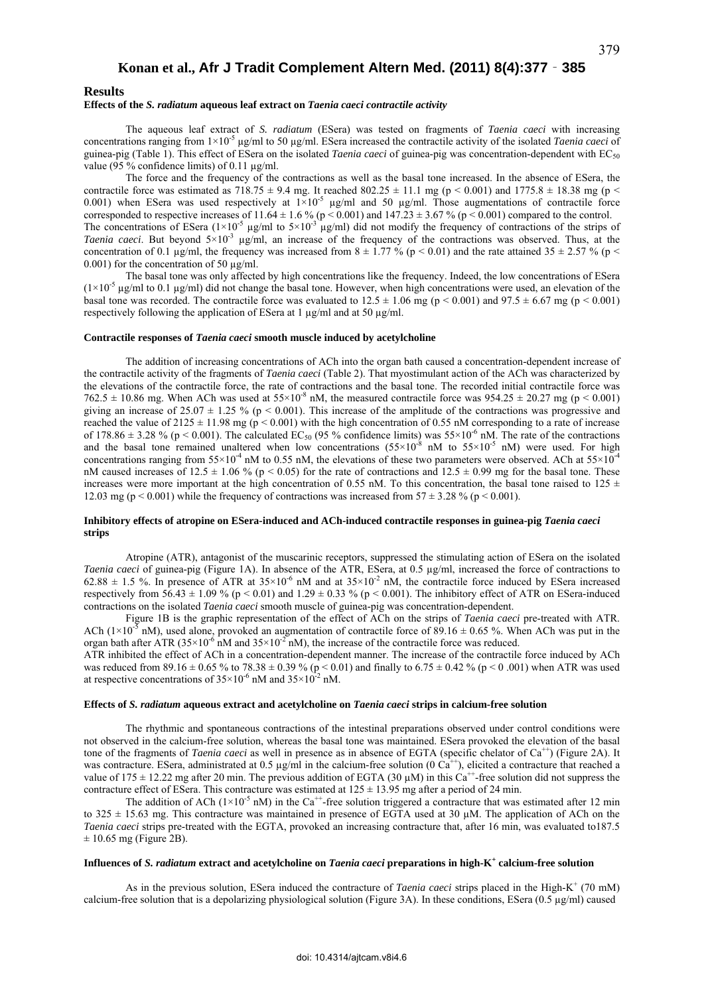#### **Effects of the** *S. radiatum* **aqueous leaf extract on** *Taenia caeci contractile activity*

The aqueous leaf extract of *S. radiatum* (ESera) was tested on fragments of *Taenia caeci* with increasing concentrations ranging from 1×10-5 µg/ml to 50 µg/ml. ESera increased the contractile activity of the isolated *Taenia caeci* of guinea-pig (Table 1). This effect of ESera on the isolated *Taenia caeci* of guinea-pig was concentration-dependent with  $EC_{50}$ value ( $95\%$  confidence limits) of 0.11  $\mu$ g/ml.

The force and the frequency of the contractions as well as the basal tone increased. In the absence of ESera, the contractile force was estimated as  $718.75 \pm 9.4$  mg. It reached  $802.25 \pm 11.1$  mg (p < 0.001) and  $1775.8 \pm 18.38$  mg (p < 0.001) when ESera was used respectively at  $1\times10^{-5}$  µg/ml and 50 µg/ml. Those augmentations of contractile force corresponded to respective increases of 11.64  $\pm$  1.6 % (p < 0.001) and 147.23  $\pm$  3.67 % (p < 0.001) compared to the control. The concentrations of ESera ( $1\times10^{-5}$  µg/ml to  $5\times10^{-3}$  µg/ml) did not modify the frequency of contractions of the strips of *Taenia caeci*. But beyond  $5\times10^{-3}$  µg/ml, an increase of the frequency of the contractions was observed. Thus, at the concentration of 0.1 µg/ml, the frequency was increased from  $8 \pm 1.77$  % (p < 0.01) and the rate attained  $35 \pm 2.57$  % (p < 0.001) for the concentration of 50 µg/ml.

The basal tone was only affected by high concentrations like the frequency. Indeed, the low concentrations of ESera  $(1\times10^{-5} \text{ µg/ml to } 0.1 \text{ µg/ml})$  did not change the basal tone. However, when high concentrations were used, an elevation of the basal tone was recorded. The contractile force was evaluated to  $12.5 \pm 1.06$  mg (p < 0.001) and 97.5  $\pm$  6.67 mg (p < 0.001) respectively following the application of ESera at 1 µg/ml and at 50 µg/ml.

#### **Contractile responses of** *Taenia caeci* **smooth muscle induced by acetylcholine**

The addition of increasing concentrations of ACh into the organ bath caused a concentration-dependent increase of the contractile activity of the fragments of *Taenia caeci* (Table 2). That myostimulant action of the ACh was characterized by the elevations of the contractile force, the rate of contractions and the basal tone. The recorded initial contractile force was  $762.5 \pm 10.86$  mg. When ACh was used at  $55 \times 10^{-8}$  nM, the measured contractile force was  $954.25 \pm 20.27$  mg (p < 0.001) giving an increase of  $25.07 \pm 1.25$  % (p < 0.001). This increase of the amplitude of the contractions was progressive and reached the value of  $2125 \pm 11.98$  mg (p < 0.001) with the high concentration of 0.55 nM corresponding to a rate of increase of 178.86  $\pm$  3.28 % (p < 0.001). The calculated EC<sub>50</sub> (95 % confidence limits) was 55×10<sup>-6</sup> nM. The rate of the contractions and the basal tone remained unaltered when low concentrations  $(55\times10^{-8}$  nM to  $55\times10^{-5}$  nM) were used. For high concentrations ranging from  $55\times10^{-4}$  nM to 0.55 nM, the elevations of these two parameters were observed. ACh at  $55\times10^{-4}$ nM caused increases of 12.5  $\pm$  1.06 % (p < 0.05) for the rate of contractions and 12.5  $\pm$  0.99 mg for the basal tone. These increases were more important at the high concentration of 0.55 nM. To this concentration, the basal tone raised to 125  $\pm$ 12.03 mg (p < 0.001) while the frequency of contractions was increased from  $57 \pm 3.28$  % (p < 0.001).

## **Inhibitory effects of atropine on ESera-induced and ACh-induced contractile responses in guinea-pig** *Taenia caeci* **strips**

Atropine (ATR), antagonist of the muscarinic receptors, suppressed the stimulating action of ESera on the isolated *Taenia caeci* of guinea-pig (Figure 1A). In absence of the ATR, ESera, at 0.5 µg/ml, increased the force of contractions to 62.88  $\pm$  1.5 %. In presence of ATR at 35×10<sup>-6</sup> nM and at 35×10<sup>-2</sup> nM, the contractile force induced by ESera increased respectively from  $56.43 \pm 1.09$  % (p < 0.01) and  $1.29 \pm 0.33$  % (p < 0.001). The inhibitory effect of ATR on ESera-induced contractions on the isolated *Taenia caeci* smooth muscle of guinea-pig was concentration-dependent.

Figure 1B is the graphic representation of the effect of ACh on the strips of *Taenia caeci* pre-treated with ATR. ACh ( $1\times10^{-5}$  nM), used alone, provoked an augmentation of contractile force of 89.16  $\pm$  0.65 %. When ACh was put in the organ bath after ATR (35×10<sup>-6</sup> nM and 35×10<sup>-2</sup> nM), the increase of the contractile force was reduced. ATR inhibited the effect of ACh in a concentration-dependent manner. The increase of the contractile force induced by ACh

was reduced from 89.16  $\pm$  0.65 % to 78.38  $\pm$  0.39 % (p < 0.01) and finally to 6.75  $\pm$  0.42 % (p < 0.001) when ATR was used at respective concentrations of  $35\times10^{-6}$  nM and  $35\times10^{-2}$  nM.

## **Effects of** *S. radiatum* **aqueous extract and acetylcholine on** *Taenia caeci* **strips in calcium-free solution**

The rhythmic and spontaneous contractions of the intestinal preparations observed under control conditions were not observed in the calcium-free solution, whereas the basal tone was maintained. ESera provoked the elevation of the basal tone of the fragments of *Taenia caeci* as well in presence as in absence of EGTA (specific chelator of Ca<sup>++</sup>) (Figure 2A). It was contracture. ESera, administrated at 0.5  $\mu$ g/ml in the calcium-free solution (0 Ca<sup>++</sup>), elicited a contracture that reached a value of  $175 \pm 12.22$  mg after 20 min. The previous addition of EGTA (30 µM) in this Ca<sup>++</sup>-free solution did not suppress the contracture effect of ESera. This contracture was estimated at  $125 \pm 13.95$  mg after a period of 24 min.

The addition of ACh ( $1\times10^{-5}$  nM) in the Ca<sup>++</sup>-free solution triggered a contracture that was estimated after 12 min to  $325 \pm 15.63$  mg. This contracture was maintained in presence of EGTA used at 30  $\mu$ M. The application of ACh on the *Taenia caeci* strips pre-treated with the EGTA, provoked an increasing contracture that, after 16 min, was evaluated to187.5  $\pm$  10.65 mg (Figure 2B).

# **Influences of** *S. radiatum* **extract and acetylcholine on** *Taenia caeci* **preparations in high-K+ calcium-free solution**

As in the previous solution, ESera induced the contracture of *Taenia caeci* strips placed in the High-K<sup>+</sup> (70 mM) calcium-free solution that is a depolarizing physiological solution (Figure 3A). In these conditions, ESera (0.5 µg/ml) caused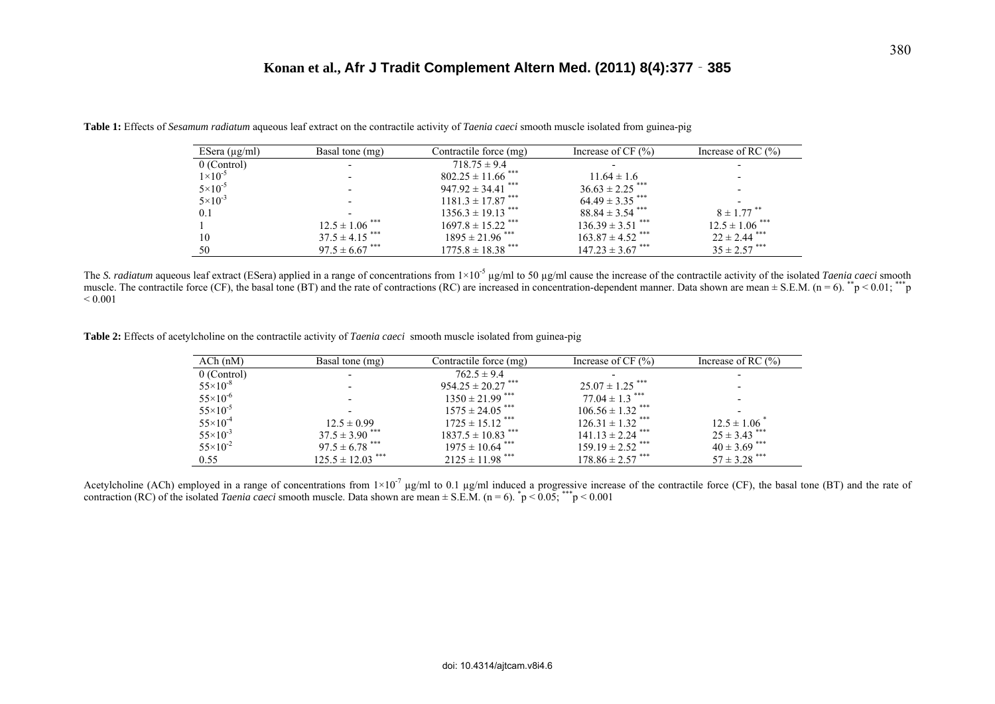| ESera $(\mu g/ml)$ | Basal tone (mg)                | Contractile force (mg)            | Increase of CF $(\% )$           | Increase of RC $(\% )$         |
|--------------------|--------------------------------|-----------------------------------|----------------------------------|--------------------------------|
| 0 (Control)        | $\overline{\phantom{a}}$       | $718.75 \pm 9.4$                  |                                  |                                |
| $1 \times 10^{-5}$ | $\overline{\phantom{0}}$       | $802.25 \pm 11.66$ <sup>***</sup> | $11.64 \pm 1.6$                  |                                |
| $5 \times 10^{-5}$ | $\overline{\phantom{0}}$       | $947.92 \pm 34.41$ ***            | $36.63 \pm 2.25$ <sup>***</sup>  |                                |
| $5 \times 10^{-3}$ | $\overline{\phantom{0}}$       | $1181.3 \pm 17.87$ ***            | $64.49 \pm 3.35$ ***             |                                |
| 0.1                |                                | $1356.3 \pm 19.13$ <sup>***</sup> | $88.84 \pm 3.54$ <sup>***</sup>  | $8 \pm 1.77$ <sup>**</sup>     |
|                    | $12.5 \pm 1.06$ <sup>***</sup> | $1697.8 \pm 15.22$ ***            | $136.39 \pm 3.51$ ***            | $12.5 \pm 1.06$ <sup>***</sup> |
| 10                 | $37.5 \pm 4.15$ ***            | $1895 \pm 21.96$ ***              | $163.87 \pm 4.52$ <sup>***</sup> | $22 \pm 2.44$ <sup>***</sup>   |
| 50                 | $97.5 \pm 6.67$ <sup>***</sup> | $1775.8 \pm 18.38$ <sup>***</sup> | $147.23 \pm 3.67$ ***            | $35 \pm 2.57$ ***              |

**Table 1:** Effects of *Sesamum radiatum* aqueous leaf extract on the contractile activity of *Taenia caeci* smooth muscle isolated from guinea-pig

The *S. radiatum* aqueous leaf extract (ESera) applied in a range of concentrations from  $1 \times 10^{-5}$  µg/ml to 50 µg/ml cause the increase of the contractile activity of the isolated *Taenia caeci* smooth muscle. The contractile force (CF), the basal tone (BT) and the rate of contractions (RC) are increased in concentration-dependent manner. Data shown are mean  $\pm$  S.E.M. (n = 6). \*\*p < 0.01; \*\*\*p  $< 0.001$ 

**Table 2:** Effects of acetylcholine on the contractile activity of *Taenia caeci* smooth muscle isolated from guinea-pig

| $ACh$ (nM)          | Basal tone (mg)                  | Contractile force (mg)            | Increase of $CF(%)$              | Increase of RC $(\% )$       |
|---------------------|----------------------------------|-----------------------------------|----------------------------------|------------------------------|
| $0$ (Control)       |                                  | $762.5 \pm 9.4$                   |                                  |                              |
| $55 \times 10^{-8}$ |                                  | $954.25 \pm 20.27$ ***            | $25.07 \pm 1.25$ ***             |                              |
| $55 \times 10^{-6}$ |                                  | $1350 \pm 21.99$ ***              | $77.04 \pm 1.3$ <sup>***</sup>   |                              |
| $55 \times 10^{-5}$ |                                  | $1575 \pm 24.05$ ***              | $106.56 \pm 1.32$ <sup>***</sup> |                              |
| $55 \times 10^{-4}$ | $12.5 \pm 0.99$                  | $1725 \pm 15.12$ <sup>***</sup>   | $126.31 \pm 1.32$ <sup>***</sup> | $12.5 \pm 1.06$ <sup>*</sup> |
| $55 \times 10^{-3}$ | $37.5 \pm 3.90$ <sup>***</sup>   | $1837.5 \pm 10.83$ <sup>***</sup> | $141.13 \pm 2.24$ <sup>***</sup> | $25 \pm 3.43$ <sup>***</sup> |
| $55 \times 10^{-2}$ | $97.5 \pm 6.78$ <sup>***</sup>   | $1975 \pm 10.64$ ***              | $159.19 \pm 2.52$ <sup>***</sup> | $40 \pm 3.69$ ***            |
| 0.55                | $125.5 \pm 12.03$ <sup>***</sup> | $2125 \pm 11.98$ <sup>***</sup>   | $178.86 \pm 2.57$ <sup>***</sup> | $57 \pm 3.28$ <sup>***</sup> |

Acetylcholine (ACh) employed in a range of concentrations from  $1\times10^{-7}$  µg/ml to 0.1 µg/ml induced a progressive increase of the contractile force (CF), the basal tone (BT) and the rate of contraction (RC) of the isolated *Taenia caeci* smooth muscle. Data shown are mean  $\pm$  S.E.M. (n = 6).  $\bar{p}$  < 0.05; \*\*\*p < 0.001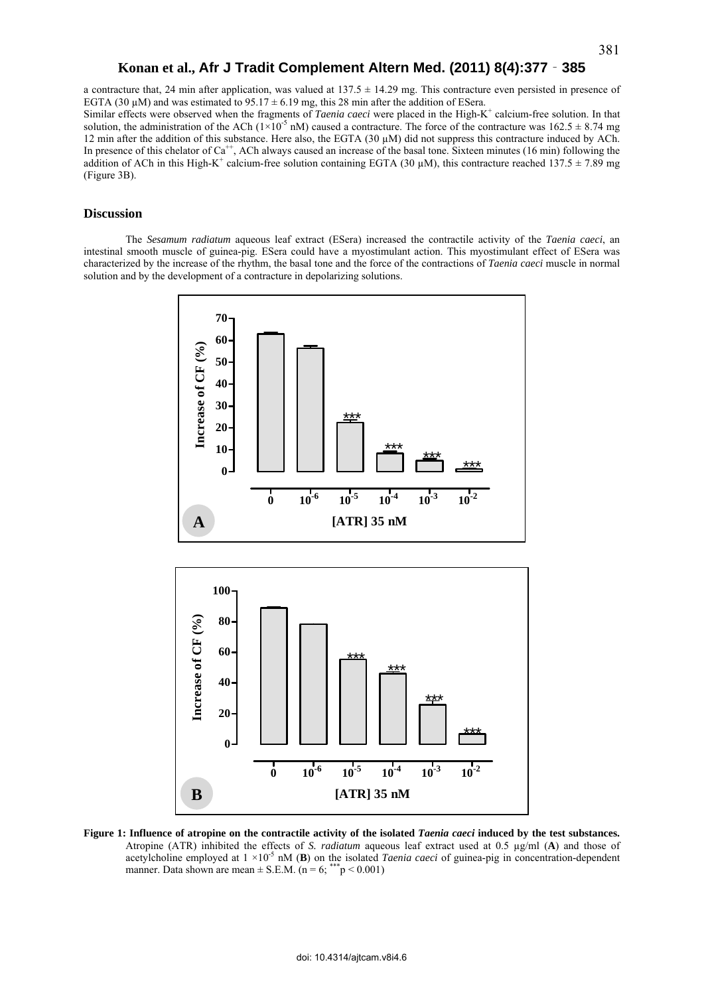a contracture that, 24 min after application, was valued at  $137.5 \pm 14.29$  mg. This contracture even persisted in presence of EGTA (30  $\mu$ M) and was estimated to 95.17  $\pm$  6.19 mg, this 28 min after the addition of ESera.

Similar effects were observed when the fragments of *Taenia caeci* were placed in the High-K<sup>+</sup> calcium-free solution. In that solution, the administration of the ACh ( $1\times10^{-5}$  nM) caused a contracture. The force of the contracture was  $162.5 \pm 8.74$  mg 12 min after the addition of this substance. Here also, the EGTA (30 µM) did not suppress this contracture induced by ACh. In presence of this chelator of  $Ca^{++}$ , ACh always caused an increase of the basal tone. Sixteen minutes (16 min) following the addition of ACh in this High-K<sup>+</sup> calcium-free solution containing EGTA (30  $\mu$ M), this contracture reached 137.5  $\pm$  7.89 mg (Figure 3B).

# **Discussion**

The *Sesamum radiatum* aqueous leaf extract (ESera) increased the contractile activity of the *Taenia caeci*, an intestinal smooth muscle of guinea-pig. ESera could have a myostimulant action. This myostimulant effect of ESera was characterized by the increase of the rhythm, the basal tone and the force of the contractions of *Taenia caeci* muscle in normal solution and by the development of a contracture in depolarizing solutions.



**Figure 1: Influence of atropine on the contractile activity of the isolated** *Taenia caeci* **induced by the test substances.** Atropine (ATR) inhibited the effects of *S. radiatum* aqueous leaf extract used at 0.5 µg/ml (**A**) and those of acetylcholine employed at  $1 \times 10^{-5}$  nM (B) on the isolated *Taenia caeci* of guinea-pig in concentration-dependent manner. Data shown are mean  $\pm$  S.E.M. (n = 6; \*\*\* p < 0.001)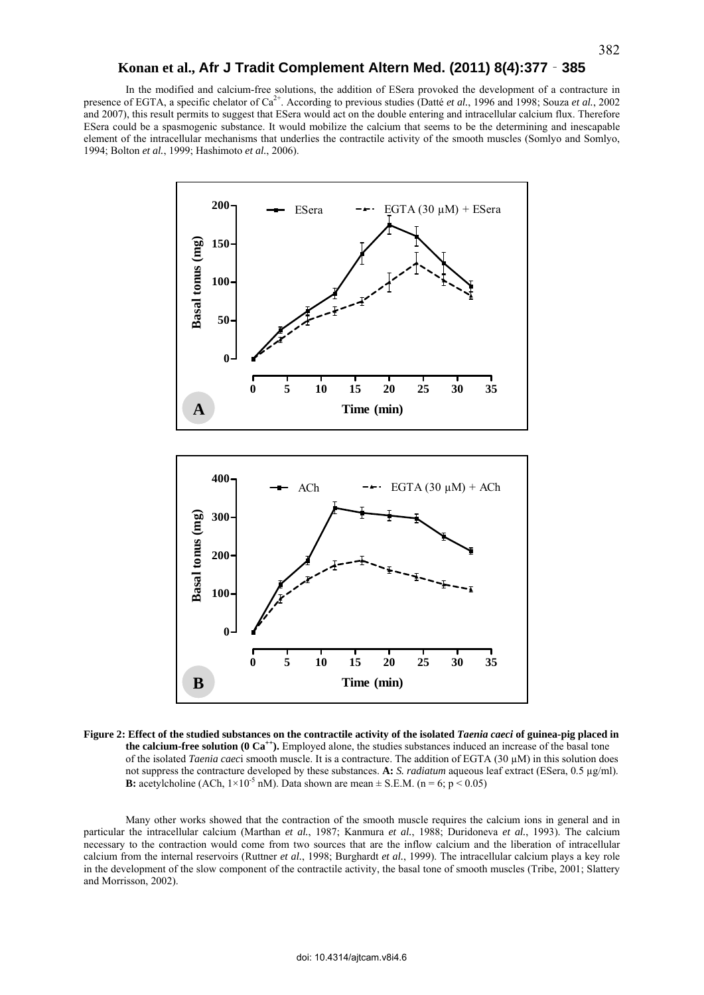In the modified and calcium-free solutions, the addition of ESera provoked the development of a contracture in presence of EGTA, a specific chelator of Ca2+. According to previous studies (Datté *et al.*, 1996 and 1998; Souza *et al.*, 2002 and 2007), this result permits to suggest that ESera would act on the double entering and intracellular calcium flux. Therefore ESera could be a spasmogenic substance. It would mobilize the calcium that seems to be the determining and inescapable element of the intracellular mechanisms that underlies the contractile activity of the smooth muscles (Somlyo and Somlyo, 1994; Bolton *et al.*, 1999; Hashimoto *et al.*, 2006).



**Figure 2: Effect of the studied substances on the contractile activity of the isolated** *Taenia caeci* **of guinea-pig placed in the calcium-free solution (0 Ca<sup>++</sup>).** Employed alone, the studies substances induced an increase of the basal tone of the isolated *Taenia caec*i smooth muscle. It is a contracture. The addition of EGTA (30 µM) in this solution does not suppress the contracture developed by these substances. **A:** *S. radiatum* aqueous leaf extract (ESera, 0.5 µg/ml). **B:** acetylcholine (ACh,  $1 \times 10^{-5}$  nM). Data shown are mean  $\pm$  S.E.M. (n = 6; p < 0.05)

Many other works showed that the contraction of the smooth muscle requires the calcium ions in general and in particular the intracellular calcium (Marthan *et al.*, 1987; Kanmura *et al.*, 1988; Duridoneva *et al.*, 1993). The calcium necessary to the contraction would come from two sources that are the inflow calcium and the liberation of intracellular calcium from the internal reservoirs (Ruttner *et al.*, 1998; Burghardt *et al.*, 1999). The intracellular calcium plays a key role in the development of the slow component of the contractile activity, the basal tone of smooth muscles (Tribe, 2001; Slattery and Morrisson, 2002).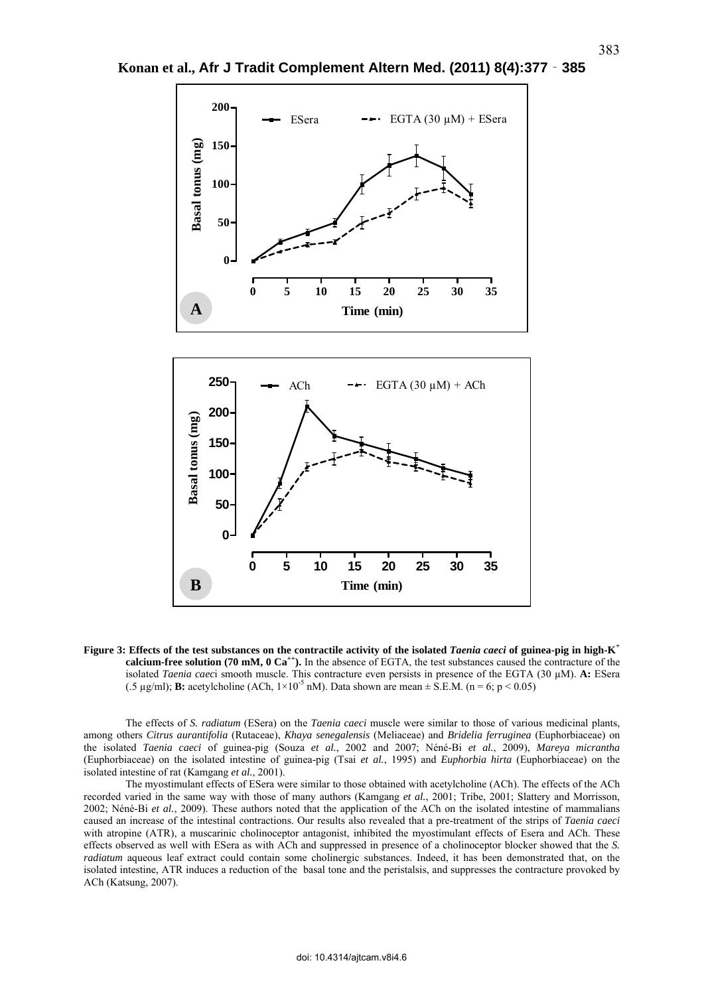

**Konan et al., Afr J Tradit Complement Altern Med. (2011) 8(4):377**‐**385**

**Figure 3: Effects of the test substances on the contractile activity of the isolated** *Taenia caeci* **of guinea-pig in high-K<sup>+</sup> calcium-free solution (70 mM, 0 Ca<sup>++</sup>).** In the absence of EGTA, the test substances caused the contracture of the isolated *Taenia caec*i smooth muscle. This contracture even persists in presence of the EGTA (30 µM). **A:** ESera (.5  $\mu$ g/ml); **B:** acetylcholine (ACh,  $1 \times 10^{-5}$  nM). Data shown are mean  $\pm$  S.E.M. (n = 6; p < 0.05)

The effects of *S. radiatum* (ESera) on the *Taenia caeci* muscle were similar to those of various medicinal plants, among others *Citrus aurantifolia* (Rutaceae), *Khaya senegalensis* (Meliaceae) and *Bridelia ferruginea* (Euphorbiaceae) on the isolated *Taenia caeci* of guinea-pig (Souza *et al.*, 2002 and 2007; Néné-Bi *et al.*, 2009), *Mareya micrantha* (Euphorbiaceae) on the isolated intestine of guinea-pig (Tsai *et al.*, 1995) and *Euphorbia hirta* (Euphorbiaceae) on the isolated intestine of rat (Kamgang *et al.*, 2001).

The myostimulant effects of ESera were similar to those obtained with acetylcholine (ACh). The effects of the ACh recorded varied in the same way with those of many authors (Kamgang *et al.*, 2001; Tribe, 2001; Slattery and Morrisson, 2002; Néné-Bi *et al.*, 2009). These authors noted that the application of the ACh on the isolated intestine of mammalians caused an increase of the intestinal contractions. Our results also revealed that a pre-treatment of the strips of *Taenia caeci* with atropine (ATR), a muscarinic cholinoceptor antagonist, inhibited the myostimulant effects of Esera and ACh. These effects observed as well with ESera as with ACh and suppressed in presence of a cholinoceptor blocker showed that the *S. radiatum* aqueous leaf extract could contain some cholinergic substances. Indeed, it has been demonstrated that, on the isolated intestine, ATR induces a reduction of the basal tone and the peristalsis, and suppresses the contracture provoked by ACh (Katsung, 2007).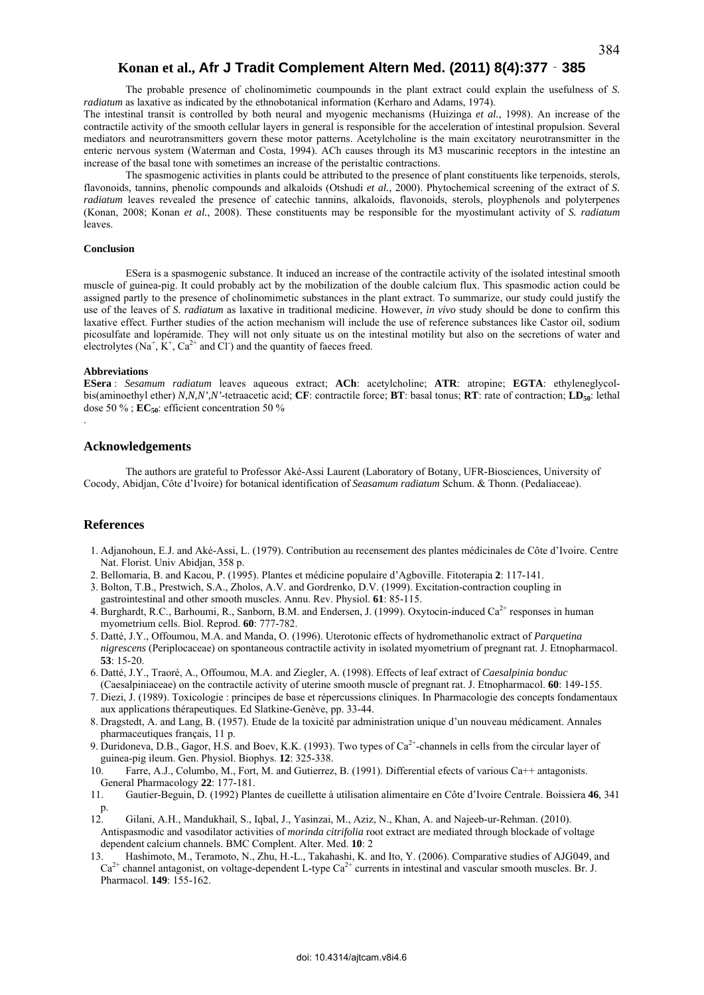The probable presence of cholinomimetic coumpounds in the plant extract could explain the usefulness of *S. radiatum* as laxative as indicated by the ethnobotanical information (Kerharo and Adams, 1974).

The intestinal transit is controlled by both neural and myogenic mechanisms (Huizinga *et al.*, 1998). An increase of the contractile activity of the smooth cellular layers in general is responsible for the acceleration of intestinal propulsion. Several mediators and neurotransmitters govern these motor patterns. Acetylcholine is the main excitatory neurotransmitter in the enteric nervous system (Waterman and Costa, 1994). ACh causes through its M3 muscarinic receptors in the intestine an increase of the basal tone with sometimes an increase of the peristaltic contractions.

The spasmogenic activities in plants could be attributed to the presence of plant constituents like terpenoids, sterols, flavonoids, tannins, phenolic compounds and alkaloids (Otshudi *et al.*, 2000). Phytochemical screening of the extract of *S. radiatum* leaves revealed the presence of catechic tannins, alkaloids, flavonoids, sterols, ployphenols and polyterpenes (Konan, 2008; Konan *et al.*, 2008). These constituents may be responsible for the myostimulant activity of *S. radiatum* leaves.

#### **Conclusion**

ESera is a spasmogenic substance. It induced an increase of the contractile activity of the isolated intestinal smooth muscle of guinea-pig. It could probably act by the mobilization of the double calcium flux. This spasmodic action could be assigned partly to the presence of cholinomimetic substances in the plant extract. To summarize, our study could justify the use of the leaves of *S. radiatum* as laxative in traditional medicine. However, *in vivo* study should be done to confirm this laxative effect. Further studies of the action mechanism will include the use of reference substances like Castor oil, sodium picosulfate and lopéramide. They will not only situate us on the intestinal motility but also on the secretions of water and electrolytes (Na<sup>+</sup>,  $\dot{K}^+$ , Ca<sup>2+</sup> and Cl<sup>-</sup>) and the quantity of faeces freed.

#### **Abbreviations**

.

**ESera** : *Sesamum radiatum* leaves aqueous extract; **ACh**: acetylcholine; **ATR**: atropine; **EGTA**: ethyleneglycolbis(aminoethyl ether) *N,N,N',N'*-tetraacetic acid; **CF**: contractile force; **BT**: basal tonus; **RT**: rate of contraction; **LD50**: lethal dose 50  $\%$ ;  $\mathbf{EC}_{50}$ : efficient concentration 50  $\%$ 

## **Acknowledgements**

The authors are grateful to Professor Aké-Assi Laurent (Laboratory of Botany, UFR-Biosciences, University of Cocody, Abidjan, Côte d'Ivoire) for botanical identification of *Seasamum radiatum* Schum. & Thonn. (Pedaliaceae).

# **References**

- 1. Adjanohoun, E.J. and Aké-Assi, L. (1979). Contribution au recensement des plantes médicinales de Côte d'Ivoire. Centre Nat. Florist. Univ Abidjan, 358 p.
- 2. Bellomaria, B. and Kacou, P. (1995). Plantes et médicine populaire d'Agboville. Fitoterapia **2**: 117-141.
- 3. Bolton, T.B., Prestwich, S.A., Zholos, A.V. and Gordrenko, D.V. (1999). Excitation-contraction coupling in gastrointestinal and other smooth muscles. Annu. Rev. Physiol. **61**: 85-115.
- 4. Burghardt, R.C., Barhoumi, R., Sanborn, B.M. and Endersen, J. (1999). Oxytocin-induced Ca<sup>2+</sup> responses in human myometrium cells. Biol. Reprod. **60**: 777-782.
- 5. Datté, J.Y., Offoumou, M.A. and Manda, O. (1996). Uterotonic effects of hydromethanolic extract of *Parquetina nigrescens* (Periplocaceae) on spontaneous contractile activity in isolated myometrium of pregnant rat. J. Etnopharmacol. **53**: 15-20.
- 6. Datté, J.Y., Traoré, A., Offoumou, M.A. and Ziegler, A. (1998). Effects of leaf extract of *Caesalpinia bonduc* (Caesalpiniaceae) on the contractile activity of uterine smooth muscle of pregnant rat. J. Etnopharmacol. **60**: 149-155.
- 7. Diezi, J. (1989). Toxicologie : principes de base et répercussions cliniques. In Pharmacologie des concepts fondamentaux aux applications thérapeutiques. Ed Slatkine-Genève, pp. 33-44.
- 8. Dragstedt, A. and Lang, B. (1957). Etude de la toxicité par administration unique d'un nouveau médicament. Annales pharmaceutiques français, 11 p.
- 9. Duridoneva, D.B., Gagor, H.S. and Boev, K.K. (1993). Two types of  $Ca<sup>2+</sup>$ -channels in cells from the circular layer of guinea-pig ileum. Gen. Physiol. Biophys. **12**: 325-338.
- Farre, A.J., Columbo, M., Fort, M. and Gutierrez, B. (1991). Differential efects of various Ca++ antagonists. General Pharmacology **22**: 177-181.
- 11. Gautier-Beguin, D. (1992) Plantes de cueillette à utilisation alimentaire en Côte d'Ivoire Centrale. Boissiera **46**, 341 p.
- 12. Gilani, A.H., Mandukhail, S., Iqbal, J., Yasinzai, M., Aziz, N., Khan, A. and Najeeb-ur-Rehman. (2010). Antispasmodic and vasodilator activities of *morinda citrifolia* root extract are mediated through blockade of voltage dependent calcium channels. BMC Complent. Alter. Med. **10**: 2
- 13. Hashimoto, M., Teramoto, N., Zhu, H.-L., Takahashi, K. and Ito, Y. (2006). Comparative studies of AJG049, and  $Ca^{2+}$  channel antagonist, on voltage-dependent L-type  $Ca^{2+}$  currents in intestinal and vascular smooth muscles. Br. J. Pharmacol. **149**: 155-162.